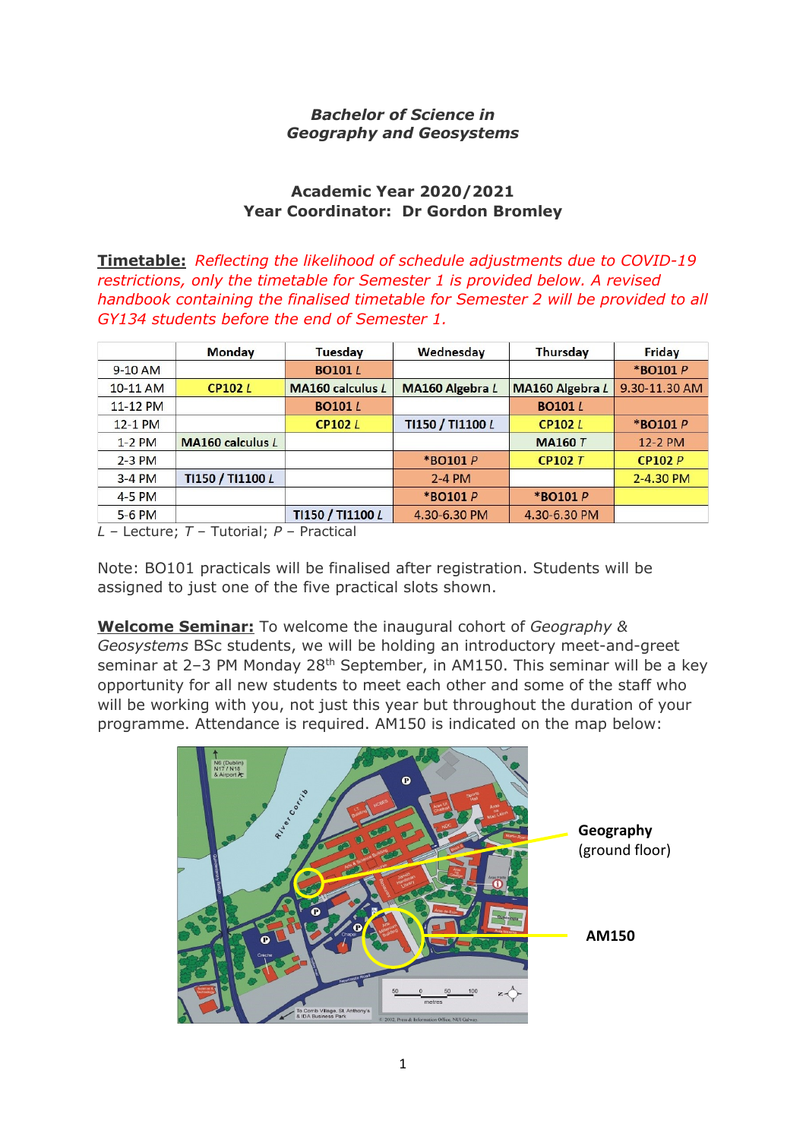### *Bachelor of Science in Geography and Geosystems*

### **Academic Year 2020/2021 Year Coordinator: Dr Gordon Bromley**

**Timetable:** *Reflecting the likelihood of schedule adjustments due to COVID-19 restrictions, only the timetable for Semester 1 is provided below. A revised handbook containing the finalised timetable for Semester 2 will be provided to all GY134 students before the end of Semester 1.* 

|           | Monday                  | <b>Tuesday</b>          | Wednesday              | <b>Thursday</b> | Friday        |
|-----------|-------------------------|-------------------------|------------------------|-----------------|---------------|
| $9-10$ AM |                         | <b>BO101</b> L          |                        |                 | *BO101 P      |
| 10-11 AM  | <b>CP102L</b>           | <b>MA160 calculus L</b> | <b>MA160 Algebra L</b> | MA160 Algebra L | 9.30-11.30 AM |
| 11-12 PM  |                         | <b>BO101</b> L          |                        | <b>BO101</b> L  |               |
| 12-1 PM   |                         | CP102L                  | TI150 / TI1100 L       | <b>CP102L</b>   | *BO101 P      |
| $1-2$ PM  | <b>MA160 calculus L</b> |                         |                        | <b>MA160 T</b>  | 12-2 PM       |
| $2-3$ PM  |                         |                         | *BO101 P               | <b>CP102 T</b>  | CP102P        |
| $3-4$ PM  | TI150 / TI1100 L        |                         | $2-4$ PM               |                 | 2-4.30 PM     |
| 4-5 PM    |                         |                         | *BO101 P               | *BO101 P        |               |
| 5-6 PM    |                         | TI150 / TI1100 L        | 4.30-6.30 PM           | 4.30-6.30 PM    |               |

*L –* Lecture; *T* – Tutorial; *P* – Practical

Note: BO101 practicals will be finalised after registration. Students will be assigned to just one of the five practical slots shown.

**Welcome Seminar:** To welcome the inaugural cohort of *Geography & Geosystems* BSc students, we will be holding an introductory meet-and-greet seminar at 2-3 PM Monday 28<sup>th</sup> September, in AM150. This seminar will be a key opportunity for all new students to meet each other and some of the staff who will be working with you, not just this year but throughout the duration of your programme. Attendance is required. AM150 is indicated on the map below:

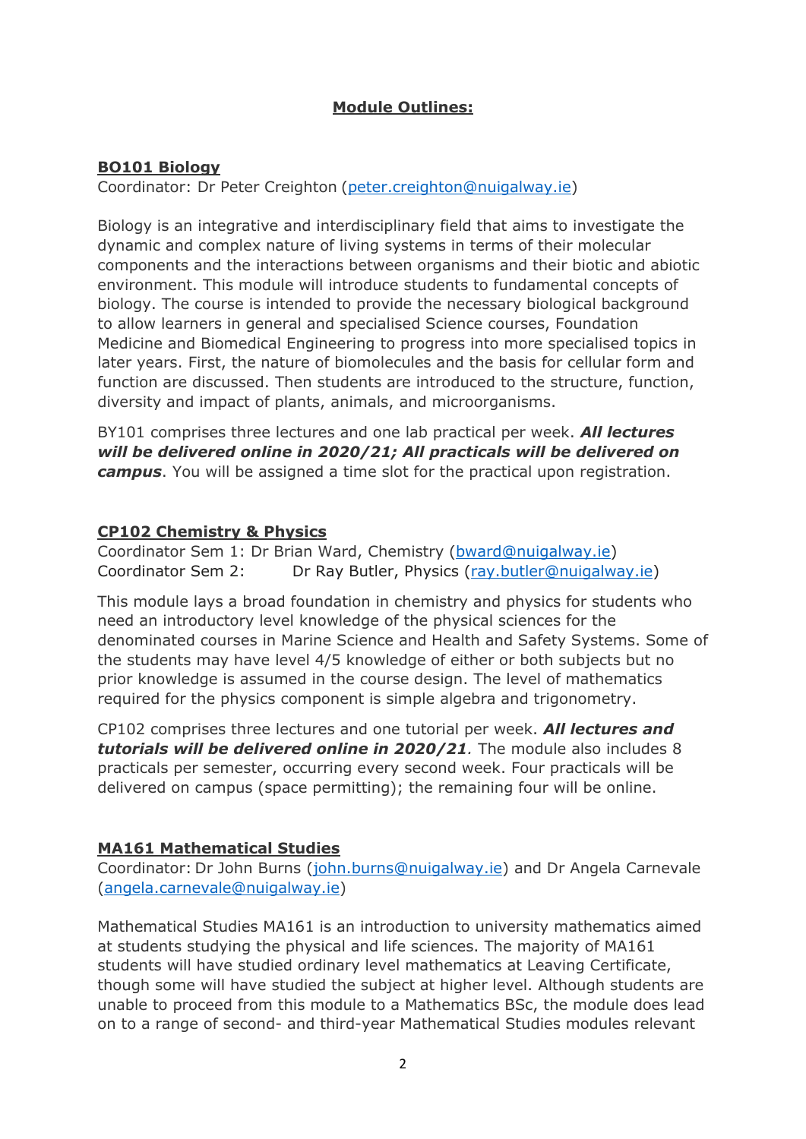# **Module Outlines:**

### **BO101 Biology**

Coordinator: Dr Peter Creighton [\(peter.creighton@nuigalway.ie\)](mailto:peter.creighton@nuigalway.ie)

Biology is an integrative and interdisciplinary field that aims to investigate the dynamic and complex nature of living systems in terms of their molecular components and the interactions between organisms and their biotic and abiotic environment. This module will introduce students to fundamental concepts of biology. The course is intended to provide the necessary biological background to allow learners in general and specialised Science courses, Foundation Medicine and Biomedical Engineering to progress into more specialised topics in later years. First, the nature of biomolecules and the basis for cellular form and function are discussed. Then students are introduced to the structure, function, diversity and impact of plants, animals, and microorganisms.

BY101 comprises three lectures and one lab practical per week. *All lectures will be delivered online in 2020/21; All practicals will be delivered on campus*. You will be assigned a time slot for the practical upon registration.

#### **CP102 Chemistry & Physics**

Coordinator Sem 1: Dr Brian Ward, Chemistry [\(bward@nuigalway.ie\)](mailto:bward@nuigalway.ie) Coordinator Sem 2: Dr Ray Butler, Physics [\(ray.butler@nuigalway.ie\)](mailto:ray.butler@nuigalway.ie)

This module lays a broad foundation in chemistry and physics for students who need an introductory level knowledge of the physical sciences for the denominated courses in Marine Science and Health and Safety Systems. Some of the students may have level 4/5 knowledge of either or both subjects but no prior knowledge is assumed in the course design. The level of mathematics required for the physics component is simple algebra and trigonometry.

CP102 comprises three lectures and one tutorial per week. *All lectures and tutorials will be delivered online in 2020/21.* The module also includes 8 practicals per semester, occurring every second week. Four practicals will be delivered on campus (space permitting); the remaining four will be online.

### **MA161 Mathematical Studies**

Coordinator: Dr John Burns [\(john.burns@nuigalway.ie\)](mailto:john.burns@nuigalway.ie) and Dr Angela Carnevale [\(angela.carnevale@nuigalway.ie\)](mailto:angela.carnevale@nuigalway.ie)

Mathematical Studies MA161 is an introduction to university mathematics aimed at students studying the physical and life sciences. The majority of MA161 students will have studied ordinary level mathematics at Leaving Certificate, though some will have studied the subject at higher level. Although students are unable to proceed from this module to a Mathematics BSc, the module does lead on to a range of second- and third-year Mathematical Studies modules relevant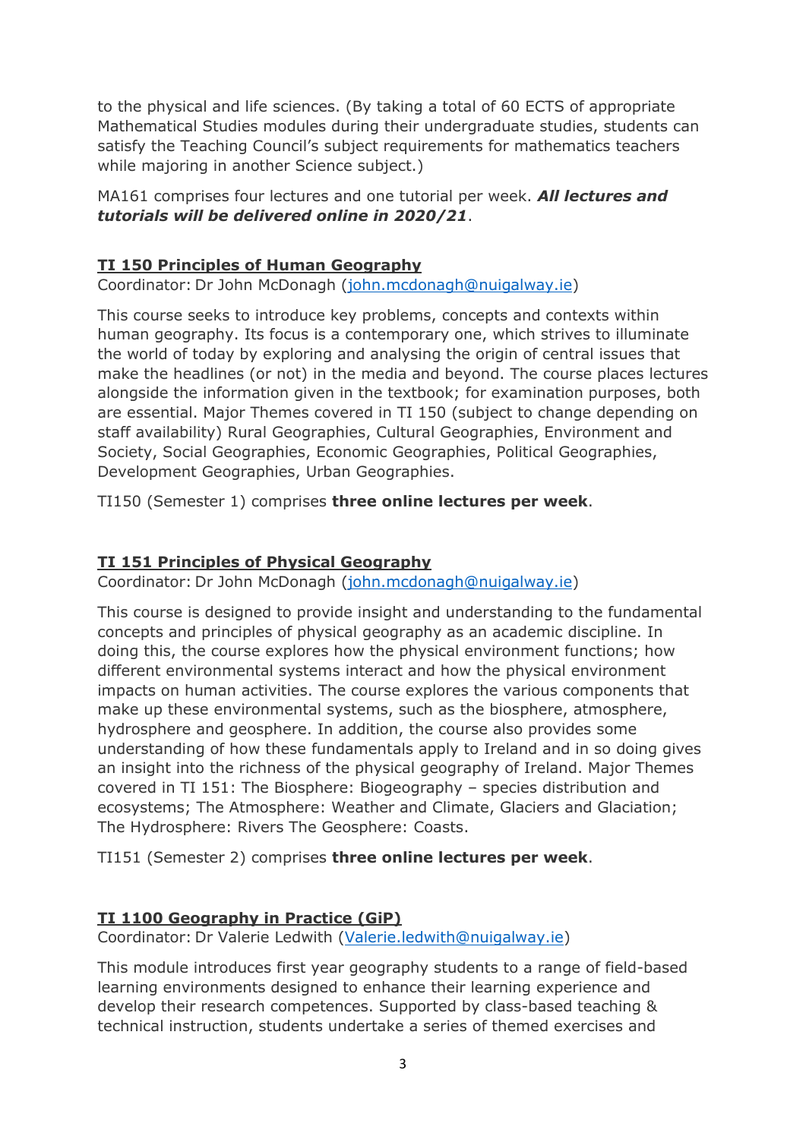to the physical and life sciences. (By taking a total of 60 ECTS of appropriate Mathematical Studies modules during their undergraduate studies, students can satisfy the Teaching Council's subject requirements for mathematics teachers while majoring in another Science subject.)

### MA161 comprises four lectures and one tutorial per week. *All lectures and tutorials will be delivered online in 2020/21*.

# **TI 150 Principles of Human Geography**

Coordinator: Dr John McDonagh [\(john.mcdonagh@nuigalway.ie\)](mailto:john.mcdonagh@nuigalway.ie)

This course seeks to introduce key problems, concepts and contexts within human geography. Its focus is a contemporary one, which strives to illuminate the world of today by exploring and analysing the origin of central issues that make the headlines (or not) in the media and beyond. The course places lectures alongside the information given in the textbook; for examination purposes, both are essential. Major Themes covered in TI 150 (subject to change depending on staff availability) Rural Geographies, Cultural Geographies, Environment and Society, Social Geographies, Economic Geographies, Political Geographies, Development Geographies, Urban Geographies.

TI150 (Semester 1) comprises **three online lectures per week**.

## **TI 151 Principles of Physical Geography**

Coordinator: Dr John McDonagh [\(john.mcdonagh@nuigalway.ie\)](mailto:john.mcdonagh@nuigalway.ie)

This course is designed to provide insight and understanding to the fundamental concepts and principles of physical geography as an academic discipline. In doing this, the course explores how the physical environment functions; how different environmental systems interact and how the physical environment impacts on human activities. The course explores the various components that make up these environmental systems, such as the biosphere, atmosphere, hydrosphere and geosphere. In addition, the course also provides some understanding of how these fundamentals apply to Ireland and in so doing gives an insight into the richness of the physical geography of Ireland. Major Themes covered in TI 151: The Biosphere: Biogeography – species distribution and ecosystems; The Atmosphere: Weather and Climate, Glaciers and Glaciation; The Hydrosphere: Rivers The Geosphere: Coasts.

TI151 (Semester 2) comprises **three online lectures per week**.

### **TI 1100 Geography in Practice (GiP)**

Coordinator: Dr Valerie Ledwith [\(Valerie.ledwith@nuigalway.ie\)](mailto:Valerie.ledwith@nuigalway.ie)

This module introduces first year geography students to a range of field-based learning environments designed to enhance their learning experience and develop their research competences. Supported by class-based teaching & technical instruction, students undertake a series of themed exercises and